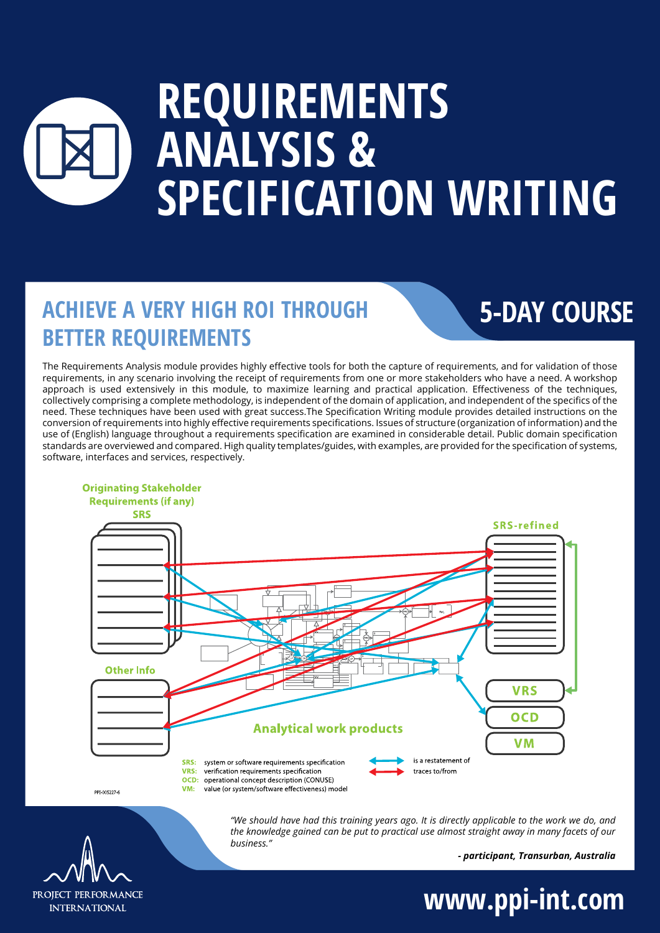# **REQUIREMENTS ANALYSIS & SPECIFICATION WRITING**

### **ACHIEVE A VERY HIGH ROI THROUGH BETTER REQUIREMENTS**

### **5-DAY COURSE**

The Requirements Analysis module provides highly effective tools for both the capture of requirements, and for validation of those requirements, in any scenario involving the receipt of requirements from one or more stakeholders who have a need. A workshop approach is used extensively in this module, to maximize learning and practical application. Effectiveness of the techniques, collectively comprising a complete methodology, is independent of the domain of application, and independent of the specifics of the need. These techniques have been used with great success.The Specification Writing module provides detailed instructions on the conversion of requirements into highly effective requirements specifications. Issues of structure (organization of information) and the use of (English) language throughout a requirements specification are examined in considerable detail. Public domain specification standards are overviewed and compared. High quality templates/guides, with examples, are provided for the specification of systems, software, interfaces and services, respectively.



**Originating Stakeholder** 

PPT-005227-6



*- participant, Transurban, Australia*



**www.ppi-int.com**